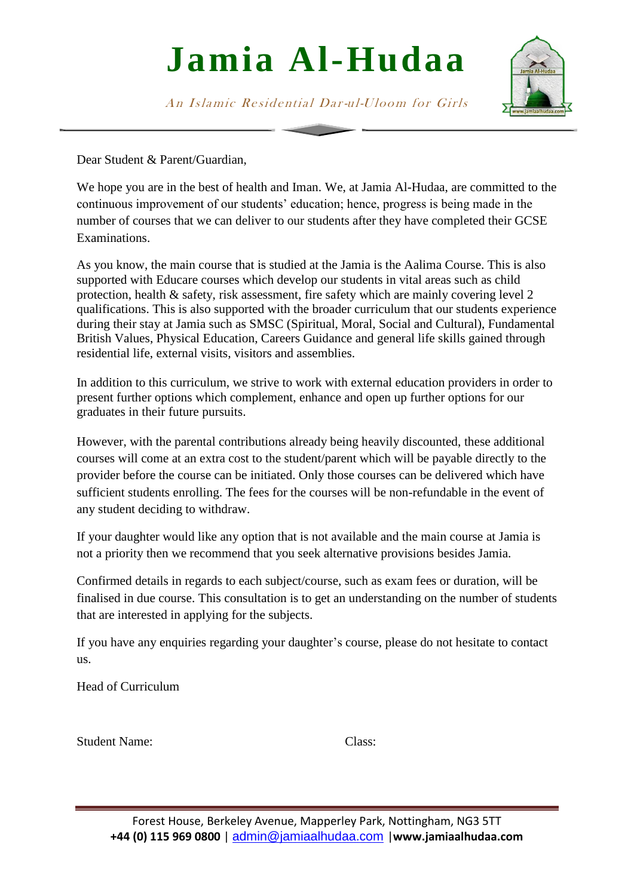## **Jamia Al-Hudaa**

An Islamic Residential Dar-ul-Uloom for Girls

Dear Student & Parent/Guardian,

We hope you are in the best of health and Iman. We, at Jamia Al-Hudaa, are committed to the continuous improvement of our students' education; hence, progress is being made in the number of courses that we can deliver to our students after they have completed their GCSE Examinations.

As you know, the main course that is studied at the Jamia is the Aalima Course. This is also supported with Educare courses which develop our students in vital areas such as child protection, health & safety, risk assessment, fire safety which are mainly covering level 2 qualifications. This is also supported with the broader curriculum that our students experience during their stay at Jamia such as SMSC (Spiritual, Moral, Social and Cultural), Fundamental British Values, Physical Education, Careers Guidance and general life skills gained through residential life, external visits, visitors and assemblies.

In addition to this curriculum, we strive to work with external education providers in order to present further options which complement, enhance and open up further options for our graduates in their future pursuits.

However, with the parental contributions already being heavily discounted, these additional courses will come at an extra cost to the student/parent which will be payable directly to the provider before the course can be initiated. Only those courses can be delivered which have sufficient students enrolling. The fees for the courses will be non-refundable in the event of any student deciding to withdraw.

If your daughter would like any option that is not available and the main course at Jamia is not a priority then we recommend that you seek alternative provisions besides Jamia.

Confirmed details in regards to each subject/course, such as exam fees or duration, will be finalised in due course. This consultation is to get an understanding on the number of students that are interested in applying for the subjects.

If you have any enquiries regarding your daughter's course, please do not hesitate to contact us.

Head of Curriculum

| Class: |
|--------|
|        |